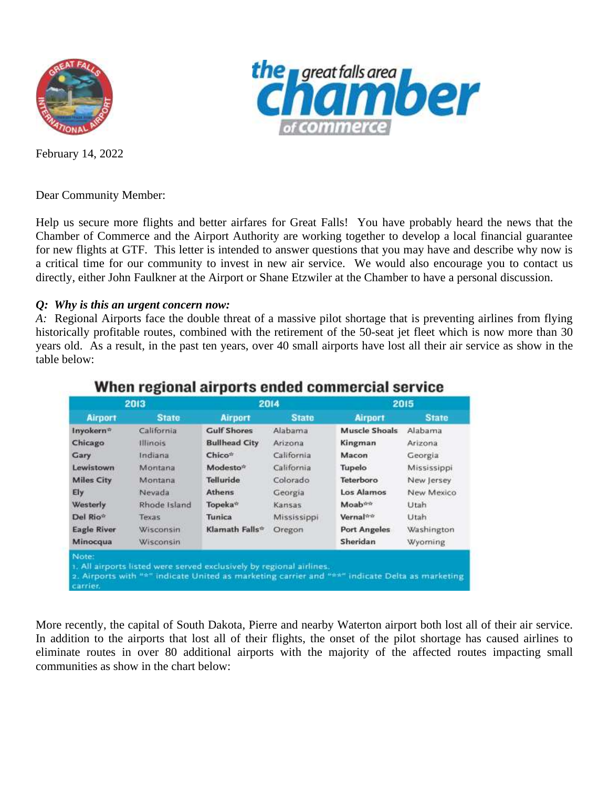

*great falls area* **ber** 

February 14, 2022

Dear Community Member:

Help us secure more flights and better airfares for Great Falls! You have probably heard the news that the Chamber of Commerce and the Airport Authority are working together to develop a local financial guarantee for new flights at GTF. This letter is intended to answer questions that you may have and describe why now is a critical time for our community to invest in new air service. We would also encourage you to contact us directly, either John Faulkner at the Airport or Shane Etzwiler at the Chamber to have a personal discussion.

## *Q: Why is this an urgent concern now:*

*A:* Regional Airports face the double threat of a massive pilot shortage that is preventing airlines from flying historically profitable routes, combined with the retirement of the 50-seat jet fleet which is now more than 30 years old. As a result, in the past ten years, over 40 small airports have lost all their air service as show in the table below:

| 2013                 |                                                                      | 2014                 |              | 2015                                                                                           |              |  |
|----------------------|----------------------------------------------------------------------|----------------------|--------------|------------------------------------------------------------------------------------------------|--------------|--|
| <b>Airport</b>       | <b>State</b>                                                         | <b>Airport</b>       | <b>State</b> | <b>Airport</b>                                                                                 | <b>State</b> |  |
| Inyokern*            | California                                                           | Gulf Shores          | Alabama      | Muscle Shoals                                                                                  | Alabama      |  |
| Chicago              | Illinois                                                             | <b>Bullhead City</b> | Arizona      | Kingman                                                                                        | Arizona      |  |
| <b>Gary</b>          | Indiana                                                              | Chico*               | California   | Macon                                                                                          | Georgia      |  |
| Lewistown            | Montana                                                              | Modesto <sup>*</sup> | California   | Tupelo                                                                                         | Mississippi  |  |
| <b>Miles City</b>    | <b>Montana</b>                                                       | <b>Telluride</b>     | Colorado     | Teterboro                                                                                      | New Jersey   |  |
| Ely                  | Nevada                                                               | <b>Athens</b>        | Georgia      | Los Alamos                                                                                     | New Mexico   |  |
| Westerly             | Rhode Island                                                         | Topeka*              | Kansas       | Moab**                                                                                         | Utah         |  |
| Del Rio <sup>®</sup> | Texas                                                                | Tunica               | Mississippi  | Vernal <sup>**</sup>                                                                           | Utah         |  |
| <b>Eagle River</b>   | Wisconsin                                                            | Klamath Falls*       | Oregon       | Port Angeles                                                                                   | Washington   |  |
| Minocqua             | Wisconsin                                                            |                      |              | Sheridan                                                                                       | Wyoming      |  |
| Note:<br>carrier.    | 1. All airports listed were served exclusively by regional airlines. |                      |              | 2. Airports with "*" indicate United as marketing carrier and "**" indicate Delta as marketing |              |  |

# When regional airports ended commercial service

More recently, the capital of South Dakota, Pierre and nearby Waterton airport both lost all of their air service. In addition to the airports that lost all of their flights, the onset of the pilot shortage has caused airlines to eliminate routes in over 80 additional airports with the majority of the affected routes impacting small communities as show in the chart below: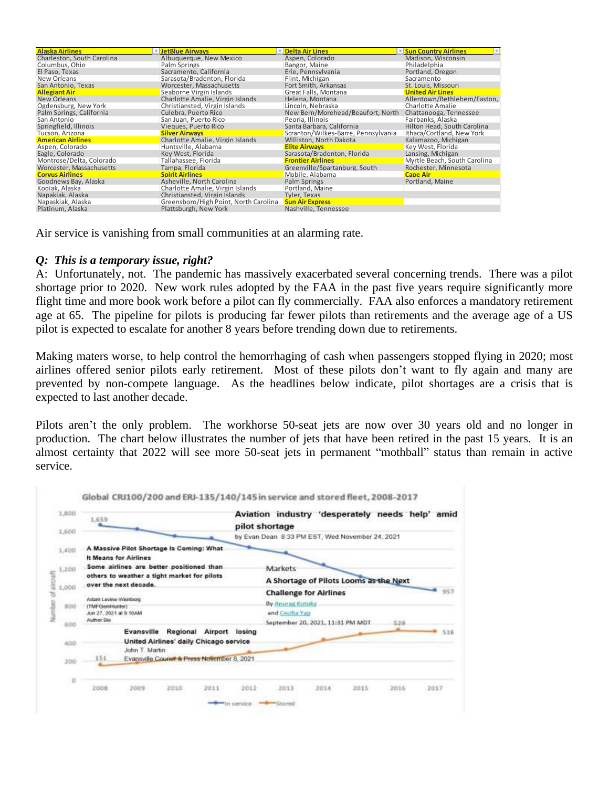| <b>Alaska Airlines</b>     | <b>EletBlue Airways</b>               | <b>Delta Air Lines</b>              | <b>Sun Country Airlines</b><br>$\sim$ |
|----------------------------|---------------------------------------|-------------------------------------|---------------------------------------|
| Charleston, South Carolina | Albuquerque, New Mexico               | Aspen, Colorado                     | Madison, Wisconsin                    |
| Columbus, Ohio             | Palm Springs                          | Bangor, Maine                       | Philadelphia                          |
| El Paso. Texas             | Sacramento, California                | Erie, Pennsylvania                  | Portland, Oregon                      |
| New Orleans                | Sarasota/Bradenton, Florida           | Flint, Michigan                     | Sacramento                            |
| San Antonio, Texas         | Worcester, Massachusetts              | Fort Smith, Arkansas                | St. Louis, Missouri                   |
| <b>Allegiant Air</b>       | Seaborne Virgin Islands               | Great Falls, Montana                | <b>United Air Lines</b>               |
| New Orleans                | Charlotte Amalie, Virgin Islands      | Helena, Montana                     | Allentown/Bethlehem/Easton,           |
| Ogdensburg, New York       | Christiansted. Virgin Islands         | Lincoln. Nebraska                   | Charlotte Amalie                      |
| Palm Springs, California   | Culebra, Puerto Rico                  | New Bern/Morehead/Beaufort, North   | Chattanooga, Tennessee                |
| San Antonio                | San Juan, Puerto Rico                 | Peoria, Illinois                    | Fairbanks, Alaska                     |
| Springfield, Illinois      | Viegues, Puerto Rico                  | Santa Barbara, California           | Hilton Head, South Carolina           |
| Tucson, Arizona            | <b>Silver Airways</b>                 | Scranton/Wilkes-Barre, Pennsylvania | Ithaca/Cortland, New York             |
| <b>American Airlines</b>   | Charlotte Amalie, Virgin Islands      | Williston, North Dakota             | Kalamazoo, Michigan                   |
| Aspen, Colorado            | Huntsville, Alabama                   | <b>Elite Airways</b>                | Key West, Florida                     |
| Eagle, Colorado            | Key West, Florida                     | Sarasota/Bradenton, Florida         | Lansing, Michigan                     |
| Montrose/Delta, Colorado   | Tallahassee. Florida                  | <b>Frontier Airlines</b>            | Myrtle Beach, South Carolina          |
| Worcester, Massachusetts   | Tampa, Florida                        | Greenville/Spartanburg, South       | Rochester, Minnesota                  |
| <b>Corvus Airlines</b>     | <b>Spirit Airlines</b>                | Mobile, Alabama                     | <b>Cape Air</b>                       |
| Goodnews Bay, Alaska       | Asheville, North Carolina             | Palm Springs                        | Portland, Maine                       |
| Kodiak, Alaska             | Charlotte Amalie, Virgin Islands      | Portland, Maine                     |                                       |
| Napakiak, Alaska           | Christiansted. Virgin Islands         | Tyler. Texas                        |                                       |
| Napaskiak, Alaska          | Greensboro/High Point, North Carolina | <b>Sun Air Express</b>              |                                       |
| Platinum, Alaska           | Plattsburgh, New York                 | Nashville, Tennessee                |                                       |

Air service is vanishing from small communities at an alarming rate.

#### *Q: This is a temporary issue, right?*

A: Unfortunately, not. The pandemic has massively exacerbated several concerning trends. There was a pilot shortage prior to 2020. New work rules adopted by the FAA in the past five years require significantly more flight time and more book work before a pilot can fly commercially. FAA also enforces a mandatory retirement age at 65. The pipeline for pilots is producing far fewer pilots than retirements and the average age of a US pilot is expected to escalate for another 8 years before trending down due to retirements.

Making maters worse, to help control the hemorrhaging of cash when passengers stopped flying in 2020; most airlines offered senior pilots early retirement. Most of these pilots don't want to fly again and many are prevented by non-compete language. As the headlines below indicate, pilot shortages are a crisis that is expected to last another decade.

Pilots aren't the only problem. The workhorse 50-seat jets are now over 30 years old and no longer in production. The chart below illustrates the number of jets that have been retired in the past 15 years. It is an almost certainty that 2022 will see more 50-seat jets in permanent "mothball" status than remain in active service.

| 1,800  | 1,659                                |                                                                      |                                             |      |                                        | Aviation industry 'desperately needs help'<br>pilot shortage |      |      |      | amid |
|--------|--------------------------------------|----------------------------------------------------------------------|---------------------------------------------|------|----------------------------------------|--------------------------------------------------------------|------|------|------|------|
| 1,600  |                                      |                                                                      |                                             |      |                                        | by Evan Dean 8 33 PM EST, Wed November 24, 2021              |      |      |      |      |
| 1,400  |                                      |                                                                      | A Massive Pilot Shortage Is Coming: What    |      |                                        |                                                              |      |      |      |      |
|        |                                      | It Means for Airlines                                                |                                             |      |                                        |                                                              |      |      |      |      |
| 1,200  |                                      |                                                                      | Some airlines are better positioned than    |      |                                        | Markets                                                      |      |      |      |      |
|        |                                      | others to weather a tight market for pilots<br>over the next decade. |                                             |      | A Shortage of Pilots Looms as the Next |                                                              |      |      |      |      |
| 1,000  |                                      |                                                                      |                                             |      | 957                                    |                                                              |      |      |      |      |
| ber of | Adam Levine-Weinberg                 |                                                                      |                                             |      |                                        | <b>Challenge for Airlines</b>                                |      |      |      |      |
| 800    | (TMFGemHunter)                       |                                                                      |                                             |      |                                        | By Anurag Kotoky                                             |      |      |      |      |
|        | Jun 27, 2021 at 9:10AM<br>Author Blo |                                                                      |                                             |      |                                        | and Cecilia Yap                                              |      |      |      |      |
| 600    |                                      |                                                                      |                                             |      |                                        | September 20, 2021, 11:31 PM MDT                             |      |      | 529  |      |
|        |                                      | <b>Evansville</b>                                                    | Regional                                    |      | Airport losing                         |                                                              |      |      |      | 516  |
| 400    |                                      | John T. Martin                                                       | United Airlines' daily Chicago service      |      |                                        |                                                              |      |      |      |      |
| 200    | 151                                  |                                                                      | Evansville Couriet & Press November 8, 2021 |      |                                        |                                                              |      |      |      |      |
| O      |                                      |                                                                      |                                             |      |                                        |                                                              |      |      |      |      |
|        | 2008                                 | 2009                                                                 | 2010                                        | 2011 | 2012                                   | 2013                                                         | 2014 | 2015 | 2016 | 2017 |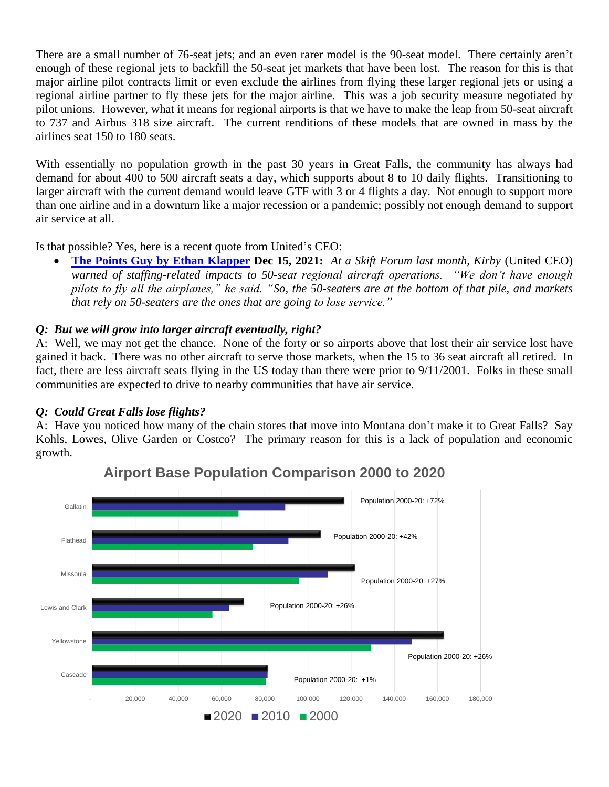There are a small number of 76-seat jets; and an even rarer model is the 90-seat model. There certainly aren't enough of these regional jets to backfill the 50-seat jet markets that have been lost. The reason for this is that major airline pilot contracts limit or even exclude the airlines from flying these larger regional jets or using a regional airline partner to fly these jets for the major airline. This was a job security measure negotiated by pilot unions. However, what it means for regional airports is that we have to make the leap from 50-seat aircraft to 737 and Airbus 318 size aircraft. The current renditions of these models that are owned in mass by the airlines seat 150 to 180 seats.

With essentially no population growth in the past 30 years in Great Falls, the community has always had demand for about 400 to 500 aircraft seats a day, which supports about 8 to 10 daily flights. Transitioning to larger aircraft with the current demand would leave GTF with 3 or 4 flights a day. Not enough to support more than one airline and in a downturn like a major recession or a pandemic; possibly not enough demand to support air service at all.

Is that possible? Yes, here is a recent quote from United's CEO:

• **[The Points Guy by Ethan Klapper](https://thepointsguy.com/author/ethanklapper/) Dec 15, 2021:** *At a Skift Forum last month, Kirby* (United CEO) *warned of staffing-related impacts to 50-seat regional aircraft operations. "We don't have enough pilots to fly all the airplanes," he said. "So, the 50-seaters are at the bottom of that pile, and markets that rely on 50-seaters are the ones that are going to lose service."*

## *Q: But we will grow into larger aircraft eventually, right?*

A: Well, we may not get the chance. None of the forty or so airports above that lost their air service lost have gained it back. There was no other aircraft to serve those markets, when the 15 to 36 seat aircraft all retired. In fact, there are less aircraft seats flying in the US today than there were prior to 9/11/2001. Folks in these small communities are expected to drive to nearby communities that have air service.

## *Q: Could Great Falls lose flights?*

A: Have you noticed how many of the chain stores that move into Montana don't make it to Great Falls? Say Kohls, Lowes, Olive Garden or Costco? The primary reason for this is a lack of population and economic growth.



**Airport Base Population Comparison 2000 to 2020**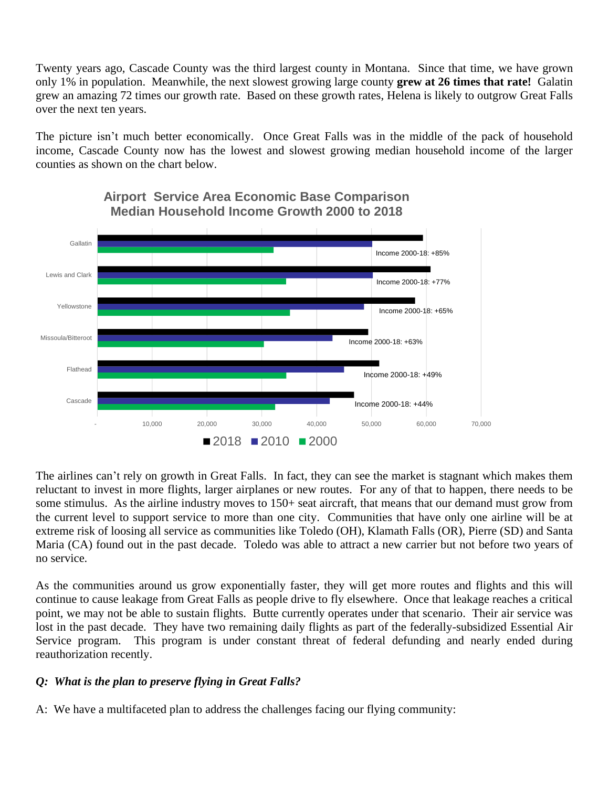Twenty years ago, Cascade County was the third largest county in Montana. Since that time, we have grown only 1% in population. Meanwhile, the next slowest growing large county **grew at 26 times that rate!** Galatin grew an amazing 72 times our growth rate. Based on these growth rates, Helena is likely to outgrow Great Falls over the next ten years.

The picture isn't much better economically. Once Great Falls was in the middle of the pack of household income, Cascade County now has the lowest and slowest growing median household income of the larger counties as shown on the chart below.



**Airport Service Area Economic Base Comparison Median Household Income Growth 2000 to 2018**

The airlines can't rely on growth in Great Falls. In fact, they can see the market is stagnant which makes them reluctant to invest in more flights, larger airplanes or new routes. For any of that to happen, there needs to be some stimulus. As the airline industry moves to 150+ seat aircraft, that means that our demand must grow from the current level to support service to more than one city. Communities that have only one airline will be at extreme risk of loosing all service as communities like Toledo (OH), Klamath Falls (OR), Pierre (SD) and Santa Maria (CA) found out in the past decade. Toledo was able to attract a new carrier but not before two years of no service.

As the communities around us grow exponentially faster, they will get more routes and flights and this will continue to cause leakage from Great Falls as people drive to fly elsewhere. Once that leakage reaches a critical point, we may not be able to sustain flights. Butte currently operates under that scenario. Their air service was lost in the past decade. They have two remaining daily flights as part of the federally-subsidized Essential Air Service program. This program is under constant threat of federal defunding and nearly ended during reauthorization recently.

## *Q: What is the plan to preserve flying in Great Falls?*

A: We have a multifaceted plan to address the challenges facing our flying community: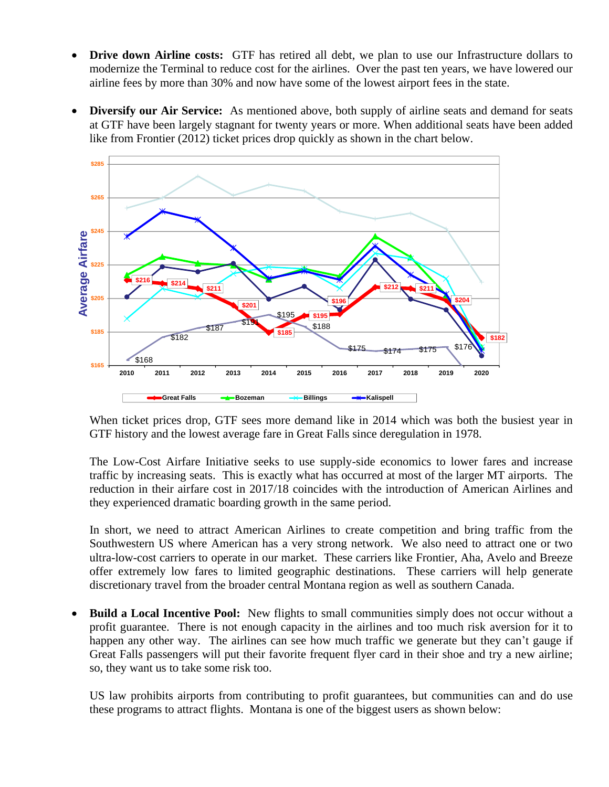- **Drive down Airline costs:** GTF has retired all debt, we plan to use our Infrastructure dollars to modernize the Terminal to reduce cost for the airlines. Over the past ten years, we have lowered our airline fees by more than 30% and now have some of the lowest airport fees in the state.
- **Diversify our Air Service:** As mentioned above, both supply of airline seats and demand for seats at GTF have been largely stagnant for twenty years or more. When additional seats have been added like from Frontier (2012) ticket prices drop quickly as shown in the chart below.



When ticket prices drop, GTF sees more demand like in 2014 which was both the busiest year in GTF history and the lowest average fare in Great Falls since deregulation in 1978.

The Low-Cost Airfare Initiative seeks to use supply-side economics to lower fares and increase traffic by increasing seats. This is exactly what has occurred at most of the larger MT airports. The reduction in their airfare cost in 2017/18 coincides with the introduction of American Airlines and they experienced dramatic boarding growth in the same period.

In short, we need to attract American Airlines to create competition and bring traffic from the Southwestern US where American has a very strong network. We also need to attract one or two ultra-low-cost carriers to operate in our market. These carriers like Frontier, Aha, Avelo and Breeze offer extremely low fares to limited geographic destinations. These carriers will help generate discretionary travel from the broader central Montana region as well as southern Canada.

• **Build a Local Incentive Pool:** New flights to small communities simply does not occur without a profit guarantee. There is not enough capacity in the airlines and too much risk aversion for it to happen any other way. The airlines can see how much traffic we generate but they can't gauge if Great Falls passengers will put their favorite frequent flyer card in their shoe and try a new airline; so, they want us to take some risk too.

US law prohibits airports from contributing to profit guarantees, but communities can and do use these programs to attract flights. Montana is one of the biggest users as shown below: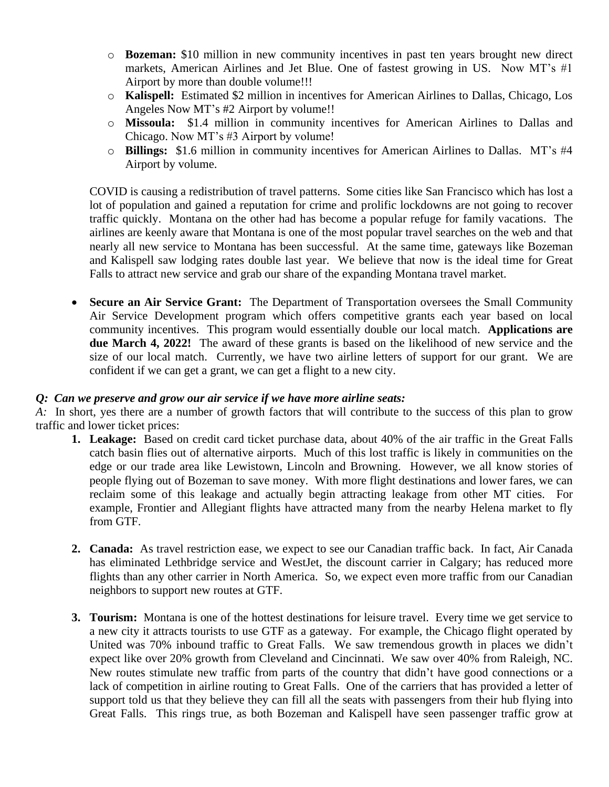- o **Bozeman:** \$10 million in new community incentives in past ten years brought new direct markets, American Airlines and Jet Blue. One of fastest growing in US. Now MT's #1 Airport by more than double volume!!!
- o **Kalispell:** Estimated \$2 million in incentives for American Airlines to Dallas, Chicago, Los Angeles Now MT's #2 Airport by volume!!
- o **Missoula:** \$1.4 million in community incentives for American Airlines to Dallas and Chicago. Now MT's #3 Airport by volume!
- o **Billings:** \$1.6 million in community incentives for American Airlines to Dallas. MT's #4 Airport by volume.

COVID is causing a redistribution of travel patterns. Some cities like San Francisco which has lost a lot of population and gained a reputation for crime and prolific lockdowns are not going to recover traffic quickly. Montana on the other had has become a popular refuge for family vacations. The airlines are keenly aware that Montana is one of the most popular travel searches on the web and that nearly all new service to Montana has been successful. At the same time, gateways like Bozeman and Kalispell saw lodging rates double last year. We believe that now is the ideal time for Great Falls to attract new service and grab our share of the expanding Montana travel market.

**Secure an Air Service Grant:** The Department of Transportation oversees the Small Community Air Service Development program which offers competitive grants each year based on local community incentives. This program would essentially double our local match. **Applications are due March 4, 2022!** The award of these grants is based on the likelihood of new service and the size of our local match. Currently, we have two airline letters of support for our grant. We are confident if we can get a grant, we can get a flight to a new city.

## *Q: Can we preserve and grow our air service if we have more airline seats:*

*A:* In short, yes there are a number of growth factors that will contribute to the success of this plan to grow traffic and lower ticket prices:

- **1. Leakage:** Based on credit card ticket purchase data, about 40% of the air traffic in the Great Falls catch basin flies out of alternative airports. Much of this lost traffic is likely in communities on the edge or our trade area like Lewistown, Lincoln and Browning. However, we all know stories of people flying out of Bozeman to save money. With more flight destinations and lower fares, we can reclaim some of this leakage and actually begin attracting leakage from other MT cities. For example, Frontier and Allegiant flights have attracted many from the nearby Helena market to fly from GTF.
- **2. Canada:** As travel restriction ease, we expect to see our Canadian traffic back. In fact, Air Canada has eliminated Lethbridge service and WestJet, the discount carrier in Calgary; has reduced more flights than any other carrier in North America. So, we expect even more traffic from our Canadian neighbors to support new routes at GTF.
- **3. Tourism:** Montana is one of the hottest destinations for leisure travel. Every time we get service to a new city it attracts tourists to use GTF as a gateway. For example, the Chicago flight operated by United was 70% inbound traffic to Great Falls. We saw tremendous growth in places we didn't expect like over 20% growth from Cleveland and Cincinnati. We saw over 40% from Raleigh, NC. New routes stimulate new traffic from parts of the country that didn't have good connections or a lack of competition in airline routing to Great Falls. One of the carriers that has provided a letter of support told us that they believe they can fill all the seats with passengers from their hub flying into Great Falls. This rings true, as both Bozeman and Kalispell have seen passenger traffic grow at